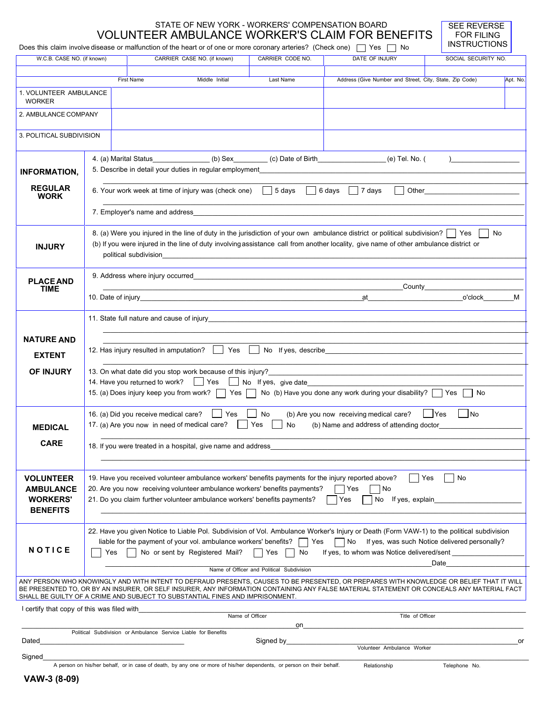|                                                                               |                                                                                                                                                                                                                                                                                                          |                   |                                        |                                                                |                                                                                                                                                                                                                                                              | Does this claim involve disease or malfunction of the heart or of one or more coronary arteries? (Check one) $\Box$ Yes $\Box$ No                                                                                                                                                    | <b>INSTRUCTIONS</b> | <b>FOR FILING</b> |
|-------------------------------------------------------------------------------|----------------------------------------------------------------------------------------------------------------------------------------------------------------------------------------------------------------------------------------------------------------------------------------------------------|-------------------|----------------------------------------|----------------------------------------------------------------|--------------------------------------------------------------------------------------------------------------------------------------------------------------------------------------------------------------------------------------------------------------|--------------------------------------------------------------------------------------------------------------------------------------------------------------------------------------------------------------------------------------------------------------------------------------|---------------------|-------------------|
| W.C.B. CASE NO. (if known)                                                    |                                                                                                                                                                                                                                                                                                          |                   |                                        | CARRIER CASE NO. (if known)                                    | CARRIER CODE NO.                                                                                                                                                                                                                                             | DATE OF INJURY                                                                                                                                                                                                                                                                       | SOCIAL SECURITY NO. |                   |
|                                                                               |                                                                                                                                                                                                                                                                                                          | <b>First Name</b> |                                        | Middle Initial                                                 | Last Name                                                                                                                                                                                                                                                    | Address (Give Number and Street, City, State, Zip Code)                                                                                                                                                                                                                              |                     | Apt. No.          |
| 1. VOLUNTEER AMBULANCE<br><b>WORKER</b>                                       |                                                                                                                                                                                                                                                                                                          |                   |                                        |                                                                |                                                                                                                                                                                                                                                              |                                                                                                                                                                                                                                                                                      |                     |                   |
| 2. AMBULANCE COMPANY                                                          |                                                                                                                                                                                                                                                                                                          |                   |                                        |                                                                |                                                                                                                                                                                                                                                              |                                                                                                                                                                                                                                                                                      |                     |                   |
| 3. POLITICAL SUBDIVISION                                                      |                                                                                                                                                                                                                                                                                                          |                   |                                        |                                                                |                                                                                                                                                                                                                                                              |                                                                                                                                                                                                                                                                                      |                     |                   |
|                                                                               |                                                                                                                                                                                                                                                                                                          |                   |                                        |                                                                |                                                                                                                                                                                                                                                              | 4. (a) Marital Status_________________ (b) Sex_________ (c) Date of Birth_____________________(e) Tel. No. (                                                                                                                                                                         |                     |                   |
| <b>INFORMATION,</b>                                                           |                                                                                                                                                                                                                                                                                                          |                   |                                        |                                                                |                                                                                                                                                                                                                                                              |                                                                                                                                                                                                                                                                                      |                     |                   |
| <b>REGULAR</b><br><b>WORK</b>                                                 |                                                                                                                                                                                                                                                                                                          |                   |                                        | 6. Your work week at time of injury was (check one)            | 5 days                                                                                                                                                                                                                                                       | $\Box$ 7 days<br>6 days<br>Other                                                                                                                                                                                                                                                     |                     |                   |
|                                                                               |                                                                                                                                                                                                                                                                                                          |                   |                                        |                                                                |                                                                                                                                                                                                                                                              |                                                                                                                                                                                                                                                                                      |                     |                   |
| <b>INJURY</b>                                                                 | 8. (a) Were you injured in the line of duty in the jurisdiction of your own ambulance district or political subdivision?     Yes<br>No<br>(b) If you were injured in the line of duty involving assistance call from another locality, give name of other ambulance district or<br>political subdivision |                   |                                        |                                                                |                                                                                                                                                                                                                                                              |                                                                                                                                                                                                                                                                                      |                     |                   |
| <b>PLACE AND</b>                                                              |                                                                                                                                                                                                                                                                                                          |                   | 9. Address where injury occurred       |                                                                | <u> 1990 - 1990 - 1990 - 1990 - 1990 - 1990 - 1990 - 1990 - 1990 - 1990 - 1990 - 1990 - 1990 - 1990 - 1990 - 19</u>                                                                                                                                          |                                                                                                                                                                                                                                                                                      |                     |                   |
| <b>TIME</b>                                                                   |                                                                                                                                                                                                                                                                                                          |                   |                                        |                                                                | <u> 1989 - Johann Stoff, deutscher Stoff, der Stoff, der Stoff, der Stoff, der Stoff, der Stoff, der Stoff, der S</u>                                                                                                                                        | at the contract of the contract of the contract of the contract of the contract of the contract of the contract of the contract of the contract of the contract of the contract of the contract of the contract of the contrac                                                       | o'clock             | М                 |
|                                                                               |                                                                                                                                                                                                                                                                                                          |                   |                                        |                                                                |                                                                                                                                                                                                                                                              |                                                                                                                                                                                                                                                                                      |                     |                   |
| <b>NATURE AND</b>                                                             |                                                                                                                                                                                                                                                                                                          |                   |                                        |                                                                |                                                                                                                                                                                                                                                              |                                                                                                                                                                                                                                                                                      |                     |                   |
| <b>EXTENT</b>                                                                 |                                                                                                                                                                                                                                                                                                          |                   | 12. Has injury resulted in amputation? | Yes                                                            | No If yes, describe                                                                                                                                                                                                                                          | the control of the control of the control of the control of the control of the control of                                                                                                                                                                                            |                     |                   |
| <b>OF INJURY</b>                                                              |                                                                                                                                                                                                                                                                                                          |                   |                                        |                                                                |                                                                                                                                                                                                                                                              |                                                                                                                                                                                                                                                                                      |                     |                   |
|                                                                               |                                                                                                                                                                                                                                                                                                          |                   |                                        |                                                                |                                                                                                                                                                                                                                                              | 14. Have you returned to work?   Yes   No If yes, give date<br>15. (a) Does injury keep you from work? \condersall Yes \condersall No (b) Have you done any work during your disability? \condersall Yes                                                                             | No                  |                   |
| <b>MEDICAL</b>                                                                |                                                                                                                                                                                                                                                                                                          |                   | 16. (a) Did you receive medical care?  | Yes<br>17. (a) Are you now in need of medical care?            | No<br>Yes<br>No                                                                                                                                                                                                                                              | (b) Are you now receiving medical care?<br>(b) Name and address of attending doctor                                                                                                                                                                                                  | Yes<br>No           |                   |
| <b>CARE</b>                                                                   |                                                                                                                                                                                                                                                                                                          |                   |                                        | 18. If you were treated in a hospital, give name and address   |                                                                                                                                                                                                                                                              |                                                                                                                                                                                                                                                                                      |                     |                   |
| <b>VOLUNTEER</b><br><b>AMBULANCE</b><br><b>WORKERS'</b><br><b>BENEFITS</b>    |                                                                                                                                                                                                                                                                                                          |                   |                                        |                                                                | 19. Have you received volunteer ambulance workers' benefits payments for the injury reported above?<br>20. Are you now receiving volunteer ambulance workers' benefits payments?<br>21. Do you claim further volunteer ambulance workers' benefits payments? | ∣ Yes<br>No<br>Yes<br>No<br>If yes, explain                                                                                                                                                                                                                                          | Yes<br>No           |                   |
| <b>NOTICE</b>                                                                 | Yes                                                                                                                                                                                                                                                                                                      |                   |                                        | No or sent by Registered Mail?                                 | liable for the payment of your vol. ambulance workers' benefits? $\vert \vert$ Yes<br>Yes<br>No                                                                                                                                                              | 22. Have you given Notice to Liable Pol. Subdivision of Vol. Ambulance Worker's Injury or Death (Form VAW-1) to the political subdivision<br>$\vert$ No If yes, was such Notice delivered personally?<br>If yes, to whom was Notice delivered/sent                                   |                     |                   |
|                                                                               |                                                                                                                                                                                                                                                                                                          |                   |                                        |                                                                | Name of Officer and Political Subdivision                                                                                                                                                                                                                    |                                                                                                                                                                                                                                                                                      | Date                |                   |
| SHALL BE GUILTY OF A CRIME AND SUBJECT TO SUBSTANTIAL FINES AND IMPRISONMENT. |                                                                                                                                                                                                                                                                                                          |                   |                                        |                                                                |                                                                                                                                                                                                                                                              | ANY PERSON WHO KNOWINGLY AND WITH INTENT TO DEFRAUD PRESENTS, CAUSES TO BE PRESENTED, OR PREPARES WITH KNOWLEDGE OR BELIEF THAT IT WILL<br>BE PRESENTED TO, OR BY AN INSURER, OR SELF INSURER, ANY INFORMATION CONTAINING ANY FALSE MATERIAL STATEMENT OR CONCEALS ANY MATERIAL FACT |                     |                   |
| I certify that copy of this was filed with                                    |                                                                                                                                                                                                                                                                                                          |                   |                                        |                                                                |                                                                                                                                                                                                                                                              |                                                                                                                                                                                                                                                                                      |                     |                   |
|                                                                               |                                                                                                                                                                                                                                                                                                          |                   |                                        |                                                                | Name of Officer<br>on                                                                                                                                                                                                                                        | Title of Officer                                                                                                                                                                                                                                                                     |                     |                   |
| Dated                                                                         |                                                                                                                                                                                                                                                                                                          |                   |                                        | Political Subdivision or Ambulance Service Liable for Benefits |                                                                                                                                                                                                                                                              |                                                                                                                                                                                                                                                                                      |                     |                   |
|                                                                               |                                                                                                                                                                                                                                                                                                          |                   |                                        |                                                                | Signed by                                                                                                                                                                                                                                                    | Volunteer Ambulance Worker                                                                                                                                                                                                                                                           |                     |                   |

STATE OF NEW YORK - WORKERS' COMPENSATION BOARD

SEE REVERSE